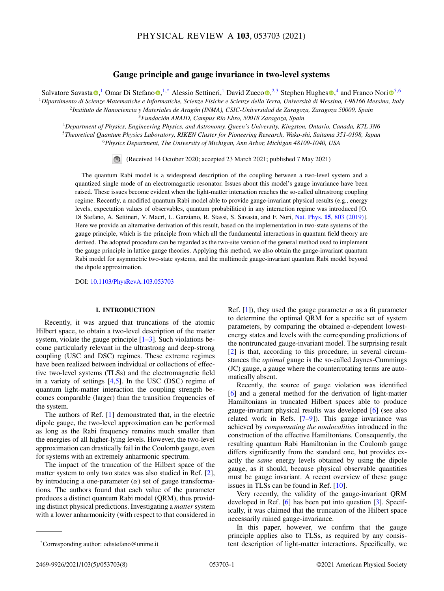# **Gauge principle and gauge invariance in two-level systems**

Salvatore Savasta <sup>®</sup>[,](https://orcid.org/0000-0003-4478-1948)<[s](https://orcid.org/0000-0002-5486-2015)up>1</sup> Omar Di Stefano ®,<sup>1,\*</sup> Alessio Settineri,<sup>1</sup> David Zueco ®,<sup>2,3</sup> Stephen Hughes ®,<sup>4</sup> and Franco Nori ®<sup>[5](https://orcid.org/0000-0003-3682-7432),6</sup>

<sup>1</sup>*Dipartimento di Scienze Matematiche e Informatiche, Scienze Fisiche e Scienze della Terra, Università di Messina, I-98166 Messina, Italy* <sup>2</sup>*Instituto de Nanociencia y Materiales de Aragón (INMA), CSIC-Universidad de Zaragoza, Zaragoza 50009, Spain*

<sup>3</sup>*Fundación ARAID, Campus Río Ebro, 50018 Zaragoza, Spain*

<sup>4</sup>*Department of Physics, Engineering Physics, and Astronomy, Queen's University, Kingston, Ontario, Canada, K7L 3N6* <sup>5</sup>*Theoretical Quantum Physics Laboratory, RIKEN Cluster for Pioneering Research, Wako-shi, Saitama 351-0198, Japan* <sup>6</sup>*Physics Department, The University of Michigan, Ann Arbor, Michigan 48109-1040, USA*

(Received 14 October 2020; accepted 23 March 2021; published 7 May 2021)

The quantum Rabi model is a widespread description of the coupling between a two-level system and a quantized single mode of an electromagnetic resonator. Issues about this model's gauge invariance have been raised. These issues become evident when the light-matter interaction reaches the so-called ultrastrong coupling regime. Recently, a modified quantum Rabi model able to provide gauge-invariant physical results (e.g., energy levels, expectation values of observables, quantum probabilities) in any interaction regime was introduced [O. Di Stefano, A. Settineri, V. Macrì, L. Garziano, R. Stassi, S. Savasta, and F. Nori, Nat. Phys. **15**[, 803 \(2019\)\]](https://doi.org/10.1038/s41567-019-0534-4). Here we provide an alternative derivation of this result, based on the implementation in two-state systems of the gauge principle, which is the principle from which all the fundamental interactions in quantum field theory are derived. The adopted procedure can be regarded as the two-site version of the general method used to implement the gauge principle in lattice gauge theories. Applying this method, we also obtain the gauge-invariant quantum Rabi model for asymmetric two-state systems, and the multimode gauge-invariant quantum Rabi model beyond the dipole approximation.

DOI: [10.1103/PhysRevA.103.053703](https://doi.org/10.1103/PhysRevA.103.053703)

## **I. INTRODUCTION**

Recently, it was argued that truncations of the atomic Hilbert space, to obtain a two-level description of the matter system, violate the gauge principle  $[1-3]$ . Such violations become particularly relevant in the ultrastrong and deep-strong coupling (USC and DSC) regimes. These extreme regimes have been realized between individual or collections of effective two-level systems (TLSs) and the electromagnetic field in a variety of settings [\[4,5\]](#page-6-0). In the USC (DSC) regime of quantum light-matter interaction the coupling strength becomes comparable (larger) than the transition frequencies of the system.

The authors of Ref. [\[1\]](#page-6-0) demonstrated that, in the electric dipole gauge, the two-level approximation can be performed as long as the Rabi frequency remains much smaller than the energies of all higher-lying levels. However, the two-level approximation can drastically fail in the Coulomb gauge, even for systems with an extremely anharmonic spectrum.

The impact of the truncation of the Hilbert space of the matter system to only two states was also studied in Ref. [\[2\]](#page-6-0), by introducing a one-parameter  $(\alpha)$  set of gauge transformations. The authors found that each value of the parameter produces a distinct quantum Rabi model (QRM), thus providing distinct physical predictions. Investigating a *matter* system with a lower anharmonicity (with respect to that considered in Ref. [\[1\]](#page-6-0)), they used the gauge parameter  $\alpha$  as a fit parameter to determine the optimal QRM for a specific set of system parameters, by comparing the obtained  $\alpha$ -dependent lowestenergy states and levels with the corresponding predictions of the nontruncated gauge-invariant model. The surprising result [\[2\]](#page-6-0) is that, according to this procedure, in several circumstances the *optimal* gauge is the so-called Jaynes-Cummings (JC) gauge, a gauge where the counterrotating terms are automatically absent.

Recently, the source of gauge violation was identified [\[6\]](#page-6-0) and a general method for the derivation of light-matter Hamiltonians in truncated Hilbert spaces able to produce gauge-invariant physical results was developed [\[6\]](#page-6-0) (see also related work in Refs. [\[7–9\]](#page-6-0)). This gauge invariance was achieved by *compensating the nonlocalities* introduced in the construction of the effective Hamiltonians. Consequently, the resulting quantum Rabi Hamiltonian in the Coulomb gauge differs significantly from the standard one, but provides exactly the *same* energy levels obtained by using the dipole gauge, as it should, because physical observable quantities must be gauge invariant. A recent overview of these gauge issues in TLSs can be found in Ref. [\[10\]](#page-6-0).

Very recently, the validity of the gauge-invariant QRM developed in Ref. [\[6\]](#page-6-0) has been put into question [\[3\]](#page-6-0). Specifically, it was claimed that the truncation of the Hilbert space necessarily ruined gauge-invariance.

In this paper, however, we confirm that the gauge principle applies also to TLSs, as required by any consistent description of light-matter interactions. Specifically, we

<sup>\*</sup>Corresponding author: odistefano@unime.it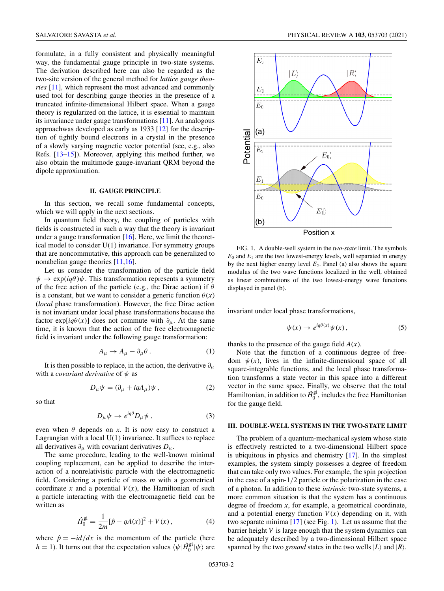<span id="page-1-0"></span>formulate, in a fully consistent and physically meaningful way, the fundamental gauge principle in two-state systems. The derivation described here can also be regarded as the two-site version of the general method for *lattice gauge theories* [\[11\]](#page-6-0), which represent the most advanced and commonly used tool for describing gauge theories in the presence of a truncated infinite-dimensional Hilbert space. When a gauge theory is regularized on the lattice, it is essential to maintain its invariance under gauge transformations [\[11\]](#page-6-0). An analogous approachwas developed as early as 1933 [\[12\]](#page-6-0) for the description of tightly bound electrons in a crystal in the presence of a slowly varying magnetic vector potential (see, e.g., also Refs. [\[13–15\]](#page-6-0)). Moreover, applying this method further, we also obtain the multimode gauge-invariant QRM beyond the dipole approximation.

### **II. GAUGE PRINCIPLE**

In this section, we recall some fundamental concepts, which we will apply in the next sections.

In quantum field theory, the coupling of particles with fields is constructed in such a way that the theory is invariant under a gauge transformation  $[16]$ . Here, we limit the theoretical model to consider U(1) invariance. For symmetry groups that are noncommutative, this approach can be generalized to nonabelian gauge theories [\[11,16\]](#page-6-0).

Let us consider the transformation of the particle field  $\psi \to \exp(iq\theta)\psi$ . This transformation represents a symmetry of the free action of the particle (e.g., the Dirac action) if  $\theta$ is a constant, but we want to consider a generic function  $\theta(x)$ (*local* phase transformation). However, the free Dirac action is not invariant under local phase transformations because the factor exp[ $iq\theta(x)$ ] does not commute with  $\partial_{\mu}$ . At the same time, it is known that the action of the free electromagnetic field is invariant under the following gauge transformation:

$$
A_{\mu} \to A_{\mu} - \partial_{\mu} \theta . \tag{1}
$$

It is then possible to replace, in the action, the derivative  $\partial_{\mu}$ with a *covariant derivative* of  $\psi$  as

$$
D_{\mu}\psi = (\partial_{\mu} + iqA_{\mu})\psi , \qquad (2)
$$

so that

$$
D_{\mu}\psi \to e^{iq\theta} D_{\mu}\psi , \qquad (3)
$$

even when  $\theta$  depends on *x*. It is now easy to construct a Lagrangian with a local  $U(1)$  invariance. It suffices to replace all derivatives  $\partial_{\mu}$  with covariant derivatives  $D_{\mu}$ .

The same procedure, leading to the well-known minimal coupling replacement, can be applied to describe the interaction of a nonrelativistic particle with the electromagnetic field. Considering a particle of mass *m* with a geometrical coordinate  $x$  and a potential  $V(x)$ , the Hamiltonian of such a particle interacting with the electromagnetic field can be written as

$$
\hat{H}_0^{\text{gi}} = \frac{1}{2m} [\hat{p} - qA(x)]^2 + V(x), \tag{4}
$$

where  $\hat{p} = -i d/dx$  is the momentum of the particle (here  $\hbar = 1$ ). It turns out that the expectation values  $\langle \psi | \hat{H}_0^{\rm gi} | \psi \rangle$  are



FIG. 1. A double-well system in the *two-state* limit. The symbols  $E_0$  and  $E_1$  are the two lowest-energy levels, well separated in energy by the next higher energy level  $E_2$ . Panel (a) also shows the square modulus of the two wave functions localized in the well, obtained as linear combinations of the two lowest-energy wave functions displayed in panel (b).

invariant under local phase transformations,

$$
\psi(x) \to e^{iq\theta(x)} \psi(x), \tag{5}
$$

thanks to the presence of the gauge field  $A(x)$ .

Note that the function of a continuous degree of freedom  $\psi(x)$ , lives in the infinite-dimensional space of all square-integrable functions, and the local phase transformation transforms a state vector in this space into a different vector in the same space. Finally, we observe that the total Hamiltonian, in addition to  $\hat{H}_0^{\text{gi}}$ , includes the free Hamiltonian for the gauge field.

#### **III. DOUBLE-WELL SYSTEMS IN THE TWO-STATE LIMIT**

The problem of a quantum-mechanical system whose state is effectively restricted to a two-dimensional Hilbert space is ubiquitous in physics and chemistry [\[17\]](#page-6-0). In the simplest examples, the system simply possesses a degree of freedom that can take only two values. For example, the spin projection in the case of a spin-1/2 particle or the polarization in the case of a photon. In addition to these *intrinsic* two-state systems, a more common situation is that the system has a continuous degree of freedom *x*, for example, a geometrical coordinate, and a potential energy function  $V(x)$  depending on it, with two separate minima [\[17\]](#page-6-0) (see Fig. 1). Let us assume that the barrier height *V* is large enough that the system dynamics can be adequately described by a two-dimensional Hilbert space spanned by the two *ground* states in the two wells  $|L\rangle$  and  $|R\rangle$ .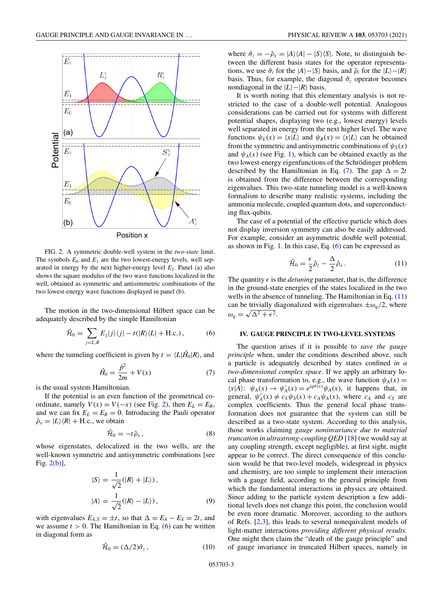<span id="page-2-0"></span>

FIG. 2. A symmetric double-well system in the *two-state* limit. The symbols  $E_0$  and  $E_1$  are the two lowest-energy levels, well separated in energy by the next higher-energy level  $E_2$ . Panel (a) also shows the square modulus of the two wave functions localized in the well, obtained as symmetric and antisimmetric combinations of the two lowest-energy wave functions displayed in panel (b).

The motion in the two-dimensional Hilbert space can be adequately described by the simple Hamiltonian

$$
\hat{\mathcal{H}}_0 = \sum_{j=L,R} E_j |j\rangle\langle j| - t(|R\rangle\langle L| + \text{H.c.}),\tag{6}
$$

where the tunneling coefficient is given by  $t = \langle L | \hat{H}_0 | R \rangle$ , and

$$
\hat{H}_0 = \frac{\hat{p}^2}{2m} + V(x) \tag{7}
$$

is the usual system Hamiltonian.

If the potential is an even function of the geometrical coordinate, namely  $V(x) = V(-x)$  (see Fig. 2), then  $E_L = E_R$ , and we can fix  $E_L = E_R = 0$ . Introducing the Pauli operator  $\hat{\rho}_x = |L\rangle\langle R| + \text{H.c., we obtain}$ 

$$
\hat{\mathcal{H}}_0 = -t\,\hat{\rho}_x\,,\tag{8}
$$

whose eigenstates, delocalized in the two wells, are the well-known symmetric and antisymmetric combinations [see Fig. 2(b)],

$$
|S\rangle = \frac{1}{\sqrt{2}} (|R\rangle + |L\rangle),
$$
  

$$
|A\rangle = \frac{1}{\sqrt{2}} (|R\rangle - |L\rangle),
$$
 (9)

with eigenvalues  $E_{A,S} = \pm t$ , so that  $\Delta = E_A - E_S = 2t$ , and we assume  $t > 0$ . The Hamiltonian in Eq. (6) can be written in diagonal form as

$$
\hat{\mathcal{H}}_0 = (\Delta/2)\hat{\sigma}_z, \qquad (10)
$$

where  $\hat{\sigma}_z = -\hat{\rho}_x = |A\rangle\langle A| - |S\rangle\langle S|$ . Note, to distinguish between the different basis states for the operator representations, we use  $\hat{\sigma}_i$  for the  $|A\rangle - |S\rangle$  basis, and  $\hat{\rho}_i$  for the  $|L\rangle - |R\rangle$ basis. Thus, for example, the diagonal  $\hat{\sigma}_z$  operator becomes nondiagonal in the  $|L\rangle - |R\rangle$  basis.

It is worth noting that this elementary analysis is not restricted to the case of a double-well potential. Analogous considerations can be carried out for systems with different potential shapes, displaying two (e.g., lowest energy) levels well separated in energy from the next higher level. The wave functions  $\psi_L(x) = \langle x | L \rangle$  and  $\psi_R(x) = \langle x | L \rangle$  can be obtained from the symmetric and antisymmetric combinations of  $\psi_s(x)$ and  $\psi_A(x)$  (see Fig. [1\)](#page-1-0), which can be obtained exactly as the two lowest-energy eigenfunctions of the Schrödinger problem described by the Hamiltonian in Eq. (7). The gap  $\Delta = 2t$ is obtained from the difference between the corresponding eigenvalues. This two-state tunneling model is a well-known formalism to describe many realistic systems, including the ammonia molecule, coupled quantum dots, and superconducting flux-qubits.

The case of a potential of the effective particle which does not display inversion symmetry can also be easily addressed. For example, consider an asymmetric double well potential, as shown in Fig. [1.](#page-1-0) In this case, Eq. (6) can be expressed as

$$
\hat{\mathcal{H}}_0 = \frac{\epsilon}{2} \hat{\rho}_z - \frac{\Delta}{2} \hat{\rho}_x. \tag{11}
$$

The quantity  $\epsilon$  is the *detuning* parameter, that is, the difference in the ground-state energies of the states localized in the two wells in the absence of tunneling. The Hamiltonian in Eq.  $(11)$ can be trivially diagonalized with eigenvalues  $\pm \omega_q/2$ , where  $\omega_q = \sqrt{\Delta^2 + \epsilon^2}.$ 

### **IV. GAUGE PRINCIPLE IN TWO-LEVEL SYSTEMS**

The question arises if it is possible to *save the gauge principle* when, under the conditions described above, such a particle is adequately described by states confined *in a two-dimensional complex space*. If we apply an arbitrary local phase transformation to, e.g., the wave function  $\psi_A(x)$  $\langle x|A\rangle$ :  $\psi_A(x) \to \psi'_A(x) = e^{iq\theta(x)}\psi_A(x)$ , it happens that, in general,  $\psi'_A(x) \neq c_S \psi_S(x) + c_A \psi_A(x)$ , where  $c_A$  and  $c_S$  are complex coefficients. Thus the general local phase transformation does not guarantee that the system can still be described as a two-state system. According to this analysis, those works claiming *gauge noninvariance due to material truncation in ultrastrong-coupling QED* [\[18\]](#page-6-0) (we would say at any coupling strength, except negligible), at first sight, might appear to be correct. The direct consequence of this conclusion would be that two-level models, widespread in physics and chemistry, are too simple to implement their interaction with a gauge field, according to the general principle from which the fundamental interactions in physics are obtained. Since adding to the particle system description a few additional levels does not change this point, the conclusion would be even more dramatic. Moreover, according to the authors of Refs. [\[2,3\]](#page-6-0), this leads to several nonequivalent models of light-matter interactions *providing different physical results*. One might then claim the "death of the gauge principle" and of gauge invariance in truncated Hilbert spaces, namely in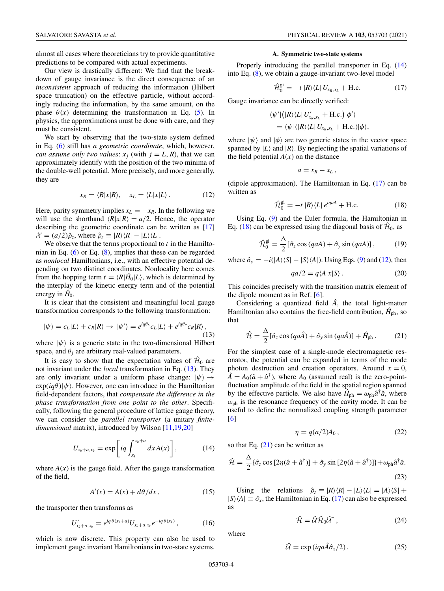<span id="page-3-0"></span>almost all cases where theoreticians try to provide quantitative predictions to be compared with actual experiments.

Our view is drastically different: We find that the breakdown of gauge invariance is the direct consequence of an *inconsistent* approach of reducing the information (Hilbert space truncation) on the effective particle, without accordingly reducing the information, by the same amount, on the phase  $\theta(x)$  determining the transformation in Eq. [\(5\)](#page-1-0). In physics, the approximations must be done with care, and they must be consistent.

We start by observing that the two-state system defined in Eq. [\(6\)](#page-2-0) still has *a geometric coordinate*, which, however, *can assume only two values:*  $x_j$  (with  $j = L, R$ ), that we can approximately identify with the position of the two minima of the double-well potential. More precisely, and more generally, they are

$$
x_R = \langle R|x|R\rangle, \quad x_L = \langle L|x|L\rangle. \tag{12}
$$

Here, parity symmetry implies  $x_L = -x_R$ . In the following we will use the shorthand  $\langle R|x|R \rangle = a/2$ . Hence, the operator describing the geometric coordinate can be written as [\[17\]](#page-6-0)  $\mathcal{X} = (a/2)\hat{\rho}_z$ , where  $\hat{\rho}_z \equiv |R\rangle\langle R| - |L\rangle\langle L|$ .

We observe that the terms proportional to *t* in the Hamiltonian in Eq. [\(6\)](#page-2-0) or Eq. [\(8\)](#page-2-0), implies that these can be regarded as *nonlocal* Hamiltonians, i.e., with an effective potential depending on two distinct coordinates. Nonlocality here comes from the hopping term  $t = \langle R | \hat{H}_0 | L \rangle$ , which is determined by the interplay of the kinetic energy term and of the potential energy in  $H_0$ .

It is clear that the consistent and meaningful local gauge transformation corresponds to the following transformation:

$$
|\psi\rangle = c_L|L\rangle + c_R|R\rangle \rightarrow |\psi'\rangle = e^{iq\theta_L}c_L|L\rangle + e^{iq\theta_R}c_R|R\rangle, \tag{13}
$$

where  $|\psi\rangle$  is a generic state in the two-dimensional Hilbert space, and  $\theta_i$  are arbitrary real-valued parameters.

It is easy to show that the expectation values of  $\hat{H}_0$  are not invariant under the *local* transformation in Eq. (13). They are only invariant under a uniform phase change:  $|\psi\rangle \rightarrow$  $\exp(iq\theta)|\psi\rangle$ . However, one can introduce in the Hamiltonian field-dependent factors, that *compensate the difference in the phase transformation from one point to the other*. Specifically, following the general procedure of lattice gauge theory, we can consider the *parallel transporter* (a unitary *finitedimensional* matrix), introduced by Wilson [\[11,19,20\]](#page-6-0)

$$
U_{x_k+a,x_k} = \exp\left[iq \int_{x_k}^{x_k+a} dx A(x)\right],\tag{14}
$$

where  $A(x)$  is the gauge field. After the gauge transformation of the field,

$$
A'(x) = A(x) + d\theta/dx, \qquad (15)
$$

the transporter then transforms as

$$
U'_{x_k + a, x_k} = e^{iq \theta(x_k + a)} U_{x_k + a, x_k} e^{-iq \theta(x_k)}, \qquad (16)
$$

which is now discrete. This property can also be used to implement gauge invariant Hamiltonians in two-state systems.

#### **A. Symmetric two-state systems**

Properly introducing the parallel transporter in Eq. (14) into Eq. [\(8\)](#page-2-0), we obtain a gauge-invariant two-level model

$$
\hat{\mathcal{H}}_0^{\text{gi}} = -t \, |R\rangle\langle L| \, U_{x_R, x_L} + \text{H.c.} \tag{17}
$$

Gauge invariance can be directly verified:

$$
\langle \psi' | (R \rangle \langle L | U'_{x_R, x_L} + \text{H.c.}) | \phi' \rangle
$$
  
= 
$$
\langle \psi | (R \rangle \langle L | U_{x_R, x_L} + \text{H.c.}) | \phi \rangle,
$$

where  $|\psi\rangle$  and  $|\phi\rangle$  are two generic states in the vector space spanned by  $|L\rangle$  and  $|R\rangle$ . By neglecting the spatial variations of the field potential  $A(x)$  on the distance

$$
a=x_R-x_L,
$$

(dipole approximation). The Hamiltonian in Eq. (17) can be written as

$$
\hat{\mathcal{H}}_0^{\text{gi}} = -t \, |R\rangle\langle L| \, e^{iqaA} + \text{H.c.} \tag{18}
$$

Using Eq. [\(9\)](#page-2-0) and the Euler formula, the Hamiltonian in Eq. (18) can be expressed using the diagonal basis of  $\hat{\mathcal{H}}_0$ , as

$$
\hat{\mathcal{H}}_0^{\text{gi}} = \frac{\Delta}{2} [\hat{\sigma}_z \cos (qaA) + \hat{\sigma}_y \sin (qaA)], \tag{19}
$$

where  $\hat{\sigma}_y = -i(|A\rangle\langle S| - |S\rangle\langle A|)$ . Using Eqs. [\(9\)](#page-2-0) and (12), then

$$
qa/2 = q\langle A|x|S\rangle. \tag{20}
$$

This coincides precisely with the transition matrix element of the dipole moment as in Ref. [\[6\]](#page-6-0).

Considering a quantized field  $\hat{A}$ , the total light-matter Hamiltonian also contains the free-field contribution,  $\hat{H}_{\text{ph}}$ , so that

$$
\hat{\mathcal{H}} = \frac{\Delta}{2} [\hat{\sigma}_z \cos (qa\hat{A}) + \hat{\sigma}_y \sin (qa\hat{A})] + \hat{H}_{\text{ph}}.
$$
 (21)

For the simplest case of a single-mode electromagnetic resonator, the potential can be expanded in terms of the mode photon destruction and creation operators. Around  $x = 0$ ,  $\hat{A} = A_0(\hat{a} + \hat{a}^\dagger)$ , where  $A_0$  (assumed real) is the zero-pointfluctuation amplitude of the field in the spatial region spanned by the effective particle. We also have  $\hat{H}_{ph} = \omega_{ph} \hat{a}^\dagger \hat{a}$ , where  $\omega_{\rm ph}$  is the resonance frequency of the cavity mode. It can be useful to define the normalized coupling strength parameter [\[6\]](#page-6-0)

$$
\eta = q(a/2)A_0, \qquad (22)
$$

so that Eq.  $(21)$  can be written as

$$
\hat{\mathcal{H}} = \frac{\Delta}{2} \{ \hat{\sigma}_z \cos \left[ 2\eta (\hat{a} + \hat{a}^\dagger) \right] + \hat{\sigma}_y \sin \left[ 2\eta (\hat{a} + \hat{a}^\dagger) \right] \} + \omega_{\text{ph}} \hat{a}^\dagger \hat{a}.
$$
\n(23)

Using the relations  $\hat{\rho}_z \equiv |R\rangle\langle R| - |L\rangle\langle L| = |A\rangle\langle S| +$  $|S\rangle\langle A| \equiv \hat{\sigma}_x$ , the Hamiltonian in Eq. (17) can also be expressed as

$$
\hat{\mathcal{H}} = \hat{\mathcal{U}} \hat{\mathcal{H}}_0 \hat{\mathcal{U}}^\dagger ,\qquad(24)
$$

where

$$
\hat{\mathcal{U}} = \exp(iqa\hat{A}\hat{\sigma}_x/2). \tag{25}
$$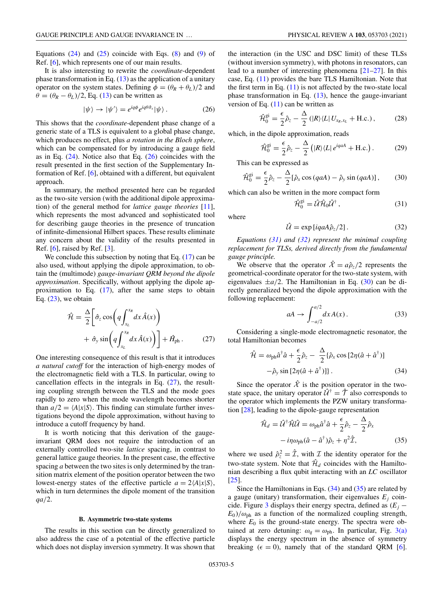Equations  $(24)$  and  $(25)$  coincide with Eqs.  $(8)$  and  $(9)$  of Ref. [\[6\]](#page-6-0), which represents one of our main results.

It is also interesting to rewrite the *coordinate*-dependent phase transformation in Eq. [\(13\)](#page-3-0) as the application of a unitary operator on the system states. Defining  $\phi = (\theta_R + \theta_L)/2$  and  $\theta = (\theta_R - \theta_L)/2$ , Eq. [\(13\)](#page-3-0) can be written as

$$
|\psi\rangle \to |\psi'\rangle = e^{iq\phi} e^{iq\theta \hat{\sigma}_x} |\psi\rangle. \tag{26}
$$

This shows that the *coordinate*-dependent phase change of a generic state of a TLS is equivalent to a global phase change, which produces no effect, plus *a rotation in the Bloch sphere*, which can be compensated for by introducing a gauge field as in Eq.  $(24)$ . Notice also that Eq.  $(26)$  coincides with the result presented in the first section of the Supplementary Information of Ref. [\[6\]](#page-6-0), obtained with a different, but equivalent approach.

In summary, the method presented here can be regarded as the two-site version (with the additional dipole approximation) of the general method for *lattice gauge theories* [\[11\]](#page-6-0), which represents the most advanced and sophisticated tool for describing gauge theories in the presence of truncation of infinite-dimensional Hilbert spaces. These results eliminate any concern about the validity of the results presented in Ref.  $[6]$ , raised by Ref.  $[3]$ .

We conclude this subsection by noting that Eq.  $(17)$  can be also used, without applying the dipole approximation, to obtain the (multimode) *gauge-invariant QRM beyond the dipole approximation*. Specifically, without applying the dipole approximation to Eq. [\(17\)](#page-3-0), after the same steps to obtain Eq.  $(23)$ , we obtain

$$
\hat{\mathcal{H}} = \frac{\Delta}{2} \bigg[ \hat{\sigma}_z \cos \bigg( q \int_{x_L}^{x_R} dx \, \hat{A}(x) \bigg) + \hat{\sigma}_y \sin \bigg( q \int_{x_L}^{x_R} dx \, \hat{A}(x) \bigg) \bigg] + \hat{H}_{ph} \,. \tag{27}
$$

One interesting consequence of this result is that it introduces *a natural cutoff* for the interaction of high-energy modes of the electromagnetic field with a TLS. In particular, owing to cancellation effects in the integrals in Eq.  $(27)$ , the resulting coupling strength between the TLS and the mode goes rapidly to zero when the mode wavelength becomes shorter than  $a/2 = \langle A|x|S \rangle$ . This finding can stimulate further investigations beyond the dipole approximation, without having to introduce a cutoff frequency by hand.

It is worth noticing that this derivation of the gaugeinvariant QRM does not require the introduction of an externally controlled two-site *lattice* spacing, in contrast to general lattice gauge theories. In the present case, the effective spacing *a* between the two sites is only determined by the transition matrix element of the position operator between the two lowest-energy states of the effective particle  $a = 2\langle A|x|S \rangle$ , which in turn determines the dipole moment of the transition *qa*/2.

#### **B. Asymmetric two-state systems**

The results in this section can be directly generalized to also address the case of a potential of the effective particle which does not display inversion symmetry. It was shown that the interaction (in the USC and DSC limit) of these TLSs (without inversion symmetry), with photons in resonators, can lead to a number of interesting phenomena [\[21–27\]](#page-6-0). In this case, Eq. [\(11\)](#page-2-0) provides the bare TLS Hamiltonian. Note that the first term in Eq.  $(11)$  is not affected by the two-state local phase transformation in Eq.  $(13)$ , hence the gauge-invariant version of Eq.  $(11)$  can be written as

$$
\hat{\mathcal{H}}_0^{\text{gi}} = \frac{\epsilon}{2} \hat{\rho}_z - \frac{\Delta}{2} (|R\rangle\langle L| U_{x_R, x_L} + \text{H.c.}), \tag{28}
$$

which, in the dipole approximation, reads

$$
\hat{\mathcal{H}}_0^{\text{gi}} = \frac{\epsilon}{2} \hat{\rho}_z - \frac{\Delta}{2} \left( |R\rangle \langle L| \, e^{iqaA} + \text{H.c.} \right). \tag{29}
$$

This can be expressed as

$$
\hat{\mathcal{H}}_0^{\text{gi}} = \frac{\epsilon}{2} \hat{\rho}_z - \frac{\Delta}{2} [\hat{\rho}_x \cos (qaA) - \hat{\rho}_y \sin (qaA)], \qquad (30)
$$

which can also be written in the more compact form

$$
\hat{\mathcal{H}}_0^{\text{gi}} = \hat{\mathcal{U}} \hat{\mathcal{H}}_0 \hat{\mathcal{U}}^\dagger , \qquad (31)
$$

where

$$
\hat{\mathcal{U}} = \exp[iqaA\hat{\rho}_z/2].\tag{32}
$$

*Equations (31) and (32) represent the minimal coupling replacement for TLSs, derived directly from the fundamental gauge principle.*

We observe that the operator  $\hat{\mathcal{X}} = a\hat{\rho}_z/2$  represents the geometrical-coordinate operator for the two-state system, with eigenvalues  $\pm a/2$ . The Hamiltonian in Eq. (30) can be directly generalized beyond the dipole approximation with the following replacement:

$$
aA \to \int_{-a/2}^{a/2} dx A(x) \,. \tag{33}
$$

Considering a single-mode electromagnetic resonator, the total Hamiltonian becomes

$$
\hat{\mathcal{H}} = \omega_{\rm ph} \hat{a}^{\dagger} \hat{a} + \frac{\epsilon}{2} \hat{\rho}_z - \frac{\Delta}{2} \{ \hat{\rho}_x \cos \left[ 2\eta (\hat{a} + \hat{a}^{\dagger}) \right] - \hat{\rho}_y \sin \left[ 2\eta (\hat{a} + \hat{a}^{\dagger}) \right] \}.
$$
\n(34)

Since the operator  $\hat{\mathcal{X}}$  is the position operator in the twostate space, the unitary operator  $\hat{\mathcal{U}}^{\dagger} = \hat{\mathcal{T}}$  also corresponds to the operator which implements the PZW unitary transformation [\[28\]](#page-7-0), leading to the dipole-gauge representation

$$
\hat{\mathcal{H}}_d = \hat{\mathcal{U}}^\dagger \hat{\mathcal{H}} \hat{\mathcal{U}} = \omega_{\rm ph} \hat{a}^\dagger \hat{a} + \frac{\epsilon}{2} \hat{\rho}_z - \frac{\Delta}{2} \hat{\rho}_x \n- i\eta \omega_{\rm ph} (\hat{a} - \hat{a}^\dagger) \hat{\rho}_z + \eta^2 \hat{\mathcal{I}},
$$
\n(35)

where we used  $\hat{\rho}_z^2 = \hat{\mathcal{I}}$ , with  $\hat{\mathcal{I}}$  the identity operator for the two-state system. Note that  $\hat{\mathcal{H}}_d$  coincides with the Hamiltonian describing a flux qubit interacting with an *LC* oscillator [\[25\]](#page-6-0).

Since the Hamiltonians in Eqs. (34) and (35) are related by a gauge (unitary) transformation, their eigenvalues  $E_i$  coin-cide. Figure [3](#page-5-0) displays their energy spectra, defined as  $(E<sub>i</sub>$  −  $E_0$ / $\omega_{\rm ph}$  as a function of the normalized coupling strength, where  $E_0$  is the ground-state energy. The spectra were obtained at zero detuning:  $\omega_q = \omega_{ph}$ . In particular, Fig. [3\(a\)](#page-5-0) displays the energy spectrum in the absence of symmetry breaking ( $\epsilon = 0$ ), namely that of the standard QRM [\[6\]](#page-6-0).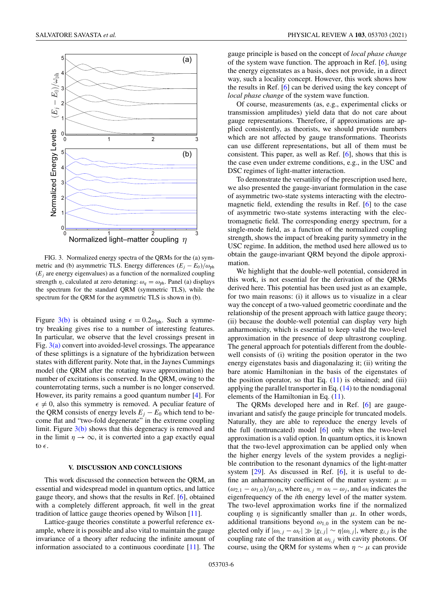<span id="page-5-0"></span>

FIG. 3. Normalized energy spectra of the QRMs for the (a) symmetric and (b) asymmetric TLS. Energy differences  $(E_i - E_0)/\omega_{ph}$  $(E<sub>i</sub>$  are energy eigenvalues) as a function of the normalized coupling strength  $\eta$ , calculated at zero detuning:  $\omega_q = \omega_{ph}$ . Panel (a) displays the spectrum for the standard QRM (symmetric TLS), while the spectrum for the QRM for the asymmetric TLS is shown in (b).

Figure 3(b) is obtained using  $\epsilon = 0.2\omega_{ph}$ . Such a symmetry breaking gives rise to a number of interesting features. In particular, we observe that the level crossings present in Fig.  $3(a)$  convert into avoided-level crossings. The appearance of these splittings is a signature of the hybridization between states with different parity. Note that, in the Jaynes Cummings model (the QRM after the rotating wave approximation) the number of excitations is conserved. In the QRM, owing to the counterrotating terms, such a number is no longer conserved. However, its parity remains a good quantum number [\[4\]](#page-6-0). For  $\epsilon \neq 0$ , also this symmetry is removed. A peculiar feature of the QRM consists of energy levels  $E_i - E_0$  which tend to become flat and "two-fold degenerate" in the extreme coupling limit. Figure  $3(b)$  shows that this degeneracy is removed and in the limit  $\eta \to \infty$ , it is converted into a gap exactly equal to  $\epsilon$ .

### **V. DISCUSSION AND CONCLUSIONS**

This work discussed the connection between the QRM, an essential and widespread model in quantum optics, and lattice gauge theory, and shows that the results in Ref. [\[6\]](#page-6-0), obtained with a completely different approach, fit well in the great tradition of lattice gauge theories opened by Wilson [\[11\]](#page-6-0).

Lattice-gauge theories constitute a powerful reference example, where it is possible and also vital to maintain the gauge invariance of a theory after reducing the infinite amount of information associated to a continuous coordinate [\[11\]](#page-6-0). The

gauge principle is based on the concept of *local phase change* of the system wave function. The approach in Ref. [\[6\]](#page-6-0), using the energy eigenstates as a basis, does not provide, in a direct way, such a locality concept. However, this work shows how the results in Ref. [\[6\]](#page-6-0) can be derived using the key concept of *local phase change* of the system wave function.

Of course, measurements (as, e.g., experimental clicks or transmission amplitudes) yield data that do not care about gauge representations. Therefore, if approximations are applied consistently, as theorists, we should provide numbers which are not affected by gauge transformations. Theorists can use different representations, but all of them must be consistent. This paper, as well as Ref. [\[6\]](#page-6-0), shows that this is the case even under extreme conditions, e.g., in the USC and DSC regimes of light-matter interaction.

To demonstrate the versatility of the prescription used here, we also presented the gauge-invariant formulation in the case of asymmetric two-state systems interacting with the electromagnetic field, extending the results in Ref. [\[6\]](#page-6-0) to the case of asymmetric two-state systems interacting with the electromagnetic field. The corresponding energy spectrum, for a single-mode field, as a function of the normalized coupling strength, shows the impact of breaking parity symmetry in the USC regime. In addition, the method used here allowed us to obtain the gauge-invariant QRM beyond the dipole approximation.

We highlight that the double-well potential, considered in this work, is not essential for the derivation of the QRMs derived here. This potential has been used just as an example, for two main reasons: (i) it allows us to visualize in a clear way the concept of a two-valued geometric coordinate and the relationship of the present approach with lattice gauge theory; (ii) because the double-well potential can display very high anharmonicity, which is essential to keep valid the two-level approximation in the presence of deep ultrastrong coupling. The general approach for potentials different from the doublewell consists of (i) writing the position operator in the two energy eigenstates basis and diagonalazing it; (ii) writing the bare atomic Hamiltonian in the basis of the eigenstates of the position operator, so that Eq.  $(11)$  is obtained; and  $(iii)$ applying the parallel transporter in Eq.  $(14)$  to the nondiagonal elements of the Hamiltonian in Eq. [\(11\)](#page-2-0).

The QRMs developed here and in Ref. [\[6\]](#page-6-0) are gaugeinvariant and satisfy the gauge principle for truncated models. Naturally, they are able to reproduce the energy levels of the full (nottruncated) model [\[6\]](#page-6-0) only when the two-level approximation is a valid option. In quantum optics, it is known that the two-level approximation can be applied only when the higher energy levels of the system provides a negligible contribution to the resonant dynamics of the light-matter system [\[29\]](#page-7-0). As discussed in Ref. [\[6\]](#page-6-0), it is useful to define an anharmoncity coefficient of the matter system:  $\mu =$  $(\omega_{2,1} - \omega_{1,0})/\omega_{1,0}$ , where  $\omega_{i,j} = \omega_i - \omega_j$ , and  $\omega_i$  indicates the eigenfrequency of the *i*th energy level of the matter system. The two-level approximation works fine if the normalized coupling  $\eta$  is significantly smaller than  $\mu$ . In other words, additional transitions beyond  $\omega_{1,0}$  in the system can be neglected only if  $|\omega_{i,j} - \omega_c| \gg |g_{i,j}| \sim \eta |\omega_{i,j}|$ , where  $g_{i,j}$  is the coupling rate of the transition at  $\omega_{i,j}$  with cavity photons. Of course, using the QRM for systems when  $\eta \sim \mu$  can provide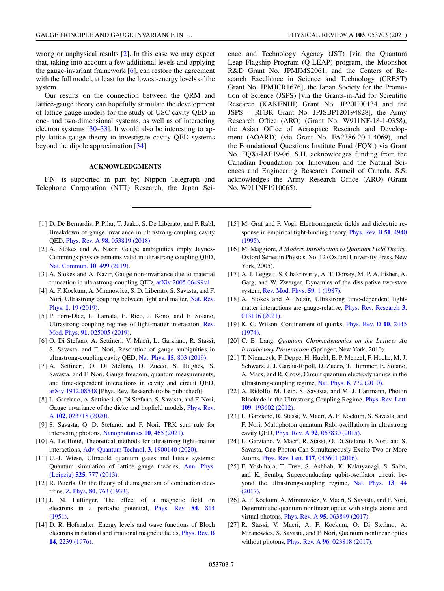<span id="page-6-0"></span>wrong or unphysical results [2]. In this case we may expect that, taking into account a few additional levels and applying the gauge-invariant framework [6], can restore the agreement with the full model, at least for the lowest-energy levels of the system.

Our results on the connection between the QRM and lattice-gauge theory can hopefully stimulate the development of lattice gauge models for the study of USC cavity QED in one- and two-dimensional systems, as well as of interacting electron systems  $[30-33]$ . It would also be interesting to apply lattice-gauge theory to investigate cavity QED systems beyond the dipole approximation [\[34\]](#page-7-0).

### **ACKNOWLEDGMENTS**

F.N. is supported in part by: Nippon Telegraph and Telephone Corporation (NTT) Research, the Japan Sci-

- [1] D. De Bernardis, P. Pilar, T. Jaako, S. De Liberato, and P. Rabl, Breakdown of gauge invariance in ultrastrong-coupling cavity QED, Phys. Rev. A **98**[, 053819 \(2018\).](https://doi.org/10.1103/PhysRevA.98.053819)
- [2] A. Stokes and A. Nazir, Gauge ambiguities imply Jaynes-Cummings physics remains valid in ultrastrong coupling QED, [Nat. Commun.](https://doi.org/10.1038/s41467-018-08101-0) **10**, 499 (2019).
- [3] A. Stokes and A. Nazir, Gauge non-invariance due to material truncation in ultrastrong-coupling QED, [arXiv:2005.06499v1.](http://arxiv.org/abs/arXiv:2005.06499v1)
- [4] A. F. Kockum, A. Miranowicz, S. D. Liberato, S. Savasta, and F. [Nori, Ultrastrong coupling between light and matter,](https://doi.org/10.1038/s42254-018-0006-2) Nat. Rev. Phys. **1**, 19 (2019).
- [5] P. Forn-Díaz, L. Lamata, E. Rico, J. Kono, and E. Solano, [Ultrastrong coupling regimes of light-matter interaction,](https://doi.org/10.1103/RevModPhys.91.025005) Rev. Mod. Phys. **91**, 025005 (2019).
- [6] O. Di Stefano, A. Settineri, V. Macrì, L. Garziano, R. Stassi, S. Savasta, and F. Nori, Resolution of gauge ambiguities in ultrastrong-coupling cavity QED, Nat. Phys. **15**[, 803 \(2019\).](https://doi.org/10.1038/s41567-019-0534-4)
- [7] A. Settineri, O. Di Stefano, D. Zueco, S. Hughes, S. Savasta, and F. Nori, Gauge freedom, quantum measurements, and time-dependent interactions in cavity and circuit QED, [arXiv:1912.08548](http://arxiv.org/abs/arXiv:1912.08548) [Phys. Rev. Research (to be published)].
- [8] L. Garziano, A. Settineri, O. Di Stefano, S. Savasta, and F. Nori, [Gauge invariance of the dicke and hopfield models,](https://doi.org/10.1103/PhysRevA.102.023718) Phys. Rev. A **102**, 023718 (2020).
- [9] S. Savasta, O. D. Stefano, and F. Nori, TRK sum rule for interacting photons, [Nanophotonics](https://doi.org/10.1515/nanoph-2020-0433) **10**, 465 (2021).
- [10] A. Le Boité, Theoretical methods for ultrastrong light–matter interactions, [Adv. Quantum Technol.](https://doi.org/10.1002/qute.201900140) **3**, 1900140 (2020).
- [11] U.-J. Wiese, Ultracold quantum gases and lattice systems: [Quantum simulation of lattice gauge theories,](https://doi.org/10.1002/andp.201300104) Ann. Phys. (Leipzig) **525**, 777 (2013).
- [12] R. Peierls, On the theory of diamagnetism of conduction electrons, Z. Phys. **80**[, 763 \(1933\).](https://doi.org/10.1007/BF01342591)
- [13] J. M. Luttinger, The effect of a magnetic field on [electrons in a periodic potential,](https://doi.org/10.1103/PhysRev.84.814) Phys. Rev. **84**, 814 (1951).
- [14] D. R. Hofstadter, Energy levels and wave functions of Bloch [electrons in rational and irrational magnetic fields,](https://doi.org/10.1103/PhysRevB.14.2239) Phys. Rev. B **14**, 2239 (1976).

ence and Technology Agency (JST) [via the Quantum Leap Flagship Program (Q-LEAP) program, the Moonshot R&D Grant No. JPMJMS2061, and the Centers of Research Excellence in Science and Technology (CREST) Grant No. JPMJCR1676], the Japan Society for the Promotion of Science (JSPS) [via the Grants-in-Aid for Scientific Research (KAKENHI) Grant No. JP20H00134 and the JSPS – RFBR Grant No. JPJSBP120194828], the Army Research Office (ARO) (Grant No. W911NF-18-1-0358), the Asian Office of Aerospace Research and Development (AOARD) (via Grant No. FA2386-20-1-4069), and the Foundational Questions Institute Fund (FQXi) via Grant No. FQXi-IAF19-06. S.H. acknowledges funding from the Canadian Foundation for Innovation and the Natural Sciences and Engineering Research Council of Canada. S.S. acknowledges the Army Research Office (ARO) (Grant No. W911NF1910065).

- [15] M. Graf and P. Vogl, Electromagnetic fields and dielectric re[sponse in empirical tight-binding theory,](https://doi.org/10.1103/PhysRevB.51.4940) Phys. Rev. B **51**, 4940 (1995).
- [16] M. Maggiore, *A Modern Introduction to Quantum Field Theory*, Oxford Series in Physics, No. 12 (Oxford University Press, New York, 2005).
- [17] A. J. Leggett, S. Chakravarty, A. T. Dorsey, M. P. A. Fisher, A. Garg, and W. Zwerger, Dynamics of the dissipative two-state system, [Rev. Mod. Phys.](https://doi.org/10.1103/RevModPhys.59.1) **59**, 1 (1987).
- [18] A. Stokes and A. Nazir, Ultrastrong time-dependent light[matter interactions are gauge-relative,](https://doi.org/10.1103/PhysRevResearch.3.013116) Phys. Rev. Research **3**, 013116 (2021).
- [19] [K. G. Wilson, Confinement of quarks,](https://doi.org/10.1103/PhysRevD.10.2445) Phys. Rev. D **10**, 2445 (1974).
- [20] C. B. Lang, *Quantum Chromodynamics on the Lattice: An Introductory Presentation* (Springer, New York, 2010).
- [21] T. Niemczyk, F. Deppe, H. Huebl, E. P. Menzel, F. Hocke, M. J. Schwarz, J. J. Garcia-Ripoll, D. Zueco, T. Hümmer, E. Solano, A. Marx, and R. Gross, Circuit quantum electrodynamics in the ultrastrong-coupling regime, Nat. Phys. **6**[, 772 \(2010\).](https://doi.org/10.1038/nphys1730)
- [22] A. Ridolfo, M. Leib, S. Savasta, and M. J. Hartmann, Photon [Blockade in the Ultrastrong Coupling Regime,](https://doi.org/10.1103/PhysRevLett.109.193602) Phys. Rev. Lett. **109**, 193602 (2012).
- [23] L. Garziano, R. Stassi, V. Macrì, A. F. Kockum, S. Savasta, and F. Nori, Multiphoton quantum Rabi oscillations in ultrastrong cavity QED, Phys. Rev. A **92**[, 063830 \(2015\).](https://doi.org/10.1103/PhysRevA.92.063830)
- [24] L. Garziano, V. Macrì, R. Stassi, O. Di Stefano, F. Nori, and S. Savasta, One Photon Can Simultaneously Excite Two or More Atoms, Phys. Rev. Lett. **117**[, 043601 \(2016\).](https://doi.org/10.1103/PhysRevLett.117.043601)
- [25] F. Yoshihara, T. Fuse, S. Ashhab, K. Kakuyanagi, S. Saito, and K. Semba, Superconducting qubit-oscillator circuit be[yond the ultrastrong-coupling regime,](https://doi.org/10.1038/nphys3906) Nat. Phys. **13**, 44 (2017).
- [26] A. F. Kockum, A. Miranowicz, V. Macrì, S. Savasta, and F. Nori, Deterministic quantum nonlinear optics with single atoms and virtual photons, Phys. Rev. A **95**[, 063849 \(2017\).](https://doi.org/10.1103/PhysRevA.95.063849)
- [27] R. Stassi, V. Macrì, A. F. Kockum, O. Di Stefano, A. Miranowicz, S. Savasta, and F. Nori, Quantum nonlinear optics without photons, Phys. Rev. A **96**[, 023818 \(2017\).](https://doi.org/10.1103/PhysRevA.96.023818)